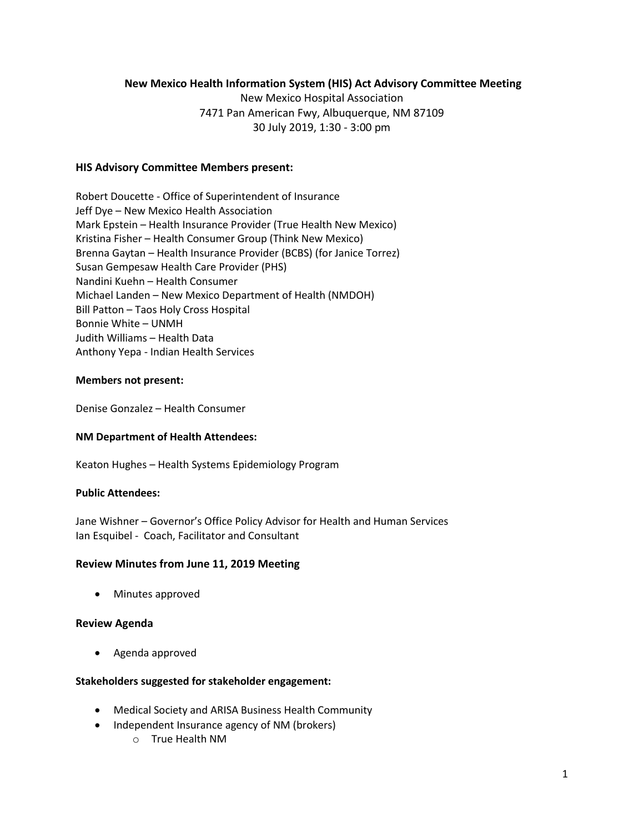# **New Mexico Health Information System (HIS) Act Advisory Committee Meeting**

New Mexico Hospital Association 7471 Pan American Fwy, Albuquerque, NM 87109 30 July 2019, 1:30 - 3:00 pm

# **HIS Advisory Committee Members present:**

Robert Doucette - Office of Superintendent of Insurance Jeff Dye – New Mexico Health Association Mark Epstein – Health Insurance Provider (True Health New Mexico) Kristina Fisher – Health Consumer Group (Think New Mexico) Brenna Gaytan – Health Insurance Provider (BCBS) (for Janice Torrez) Susan Gempesaw Health Care Provider (PHS) Nandini Kuehn – Health Consumer Michael Landen – New Mexico Department of Health (NMDOH) Bill Patton – Taos Holy Cross Hospital Bonnie White – UNMH Judith Williams – Health Data Anthony Yepa - Indian Health Services

### **Members not present:**

Denise Gonzalez – Health Consumer

# **NM Department of Health Attendees:**

Keaton Hughes – Health Systems Epidemiology Program

### **Public Attendees:**

Jane Wishner – Governor's Office Policy Advisor for Health and Human Services Ian Esquibel - Coach, Facilitator and Consultant

# **Review Minutes from June 11, 2019 Meeting**

• Minutes approved

#### **Review Agenda**

• Agenda approved

#### **Stakeholders suggested for stakeholder engagement:**

- Medical Society and ARISA Business Health Community
- Independent Insurance agency of NM (brokers)
	- o True Health NM